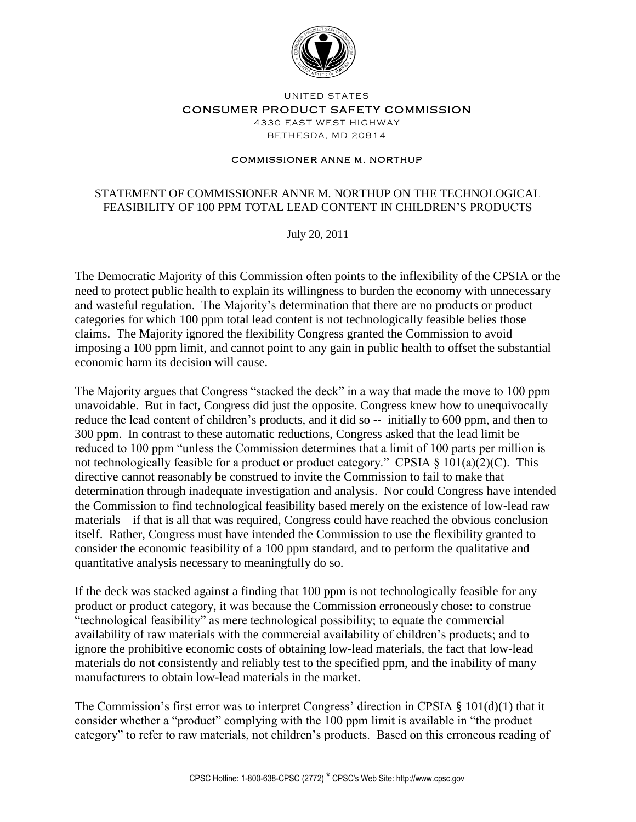

UNITED STATES

CONSUMER PRODUCT SAFETY COMMISSION

4330 EAST WEST HIGHWAY **BETHESDA, MD 20814** 

#### **COMMISSIONER ANNE M. NORTHUP**

## STATEMENT OF COMMISSIONER ANNE M. NORTHUP ON THE TECHNOLOGICAL FEASIBILITY OF 100 PPM TOTAL LEAD CONTENT IN CHILDREN'S PRODUCTS

July 20, 2011

The Democratic Majority of this Commission often points to the inflexibility of the CPSIA or the need to protect public health to explain its willingness to burden the economy with unnecessary and wasteful regulation. The Majority's determination that there are no products or product categories for which 100 ppm total lead content is not technologically feasible belies those claims. The Majority ignored the flexibility Congress granted the Commission to avoid imposing a 100 ppm limit, and cannot point to any gain in public health to offset the substantial economic harm its decision will cause.

The Majority argues that Congress "stacked the deck" in a way that made the move to 100 ppm unavoidable. But in fact, Congress did just the opposite. Congress knew how to unequivocally reduce the lead content of children's products, and it did so -- initially to 600 ppm, and then to 300 ppm. In contrast to these automatic reductions, Congress asked that the lead limit be reduced to 100 ppm "unless the Commission determines that a limit of 100 parts per million is not technologically feasible for a product or product category." CPSIA § 101(a)(2)(C). This directive cannot reasonably be construed to invite the Commission to fail to make that determination through inadequate investigation and analysis. Nor could Congress have intended the Commission to find technological feasibility based merely on the existence of low-lead raw materials – if that is all that was required, Congress could have reached the obvious conclusion itself. Rather, Congress must have intended the Commission to use the flexibility granted to consider the economic feasibility of a 100 ppm standard, and to perform the qualitative and quantitative analysis necessary to meaningfully do so.

If the deck was stacked against a finding that 100 ppm is not technologically feasible for any product or product category, it was because the Commission erroneously chose: to construe "technological feasibility" as mere technological possibility; to equate the commercial availability of raw materials with the commercial availability of children's products; and to ignore the prohibitive economic costs of obtaining low-lead materials, the fact that low-lead materials do not consistently and reliably test to the specified ppm, and the inability of many manufacturers to obtain low-lead materials in the market.

The Commission's first error was to interpret Congress' direction in CPSIA  $\S$  101(d)(1) that it consider whether a "product" complying with the 100 ppm limit is available in "the product category" to refer to raw materials, not children's products. Based on this erroneous reading of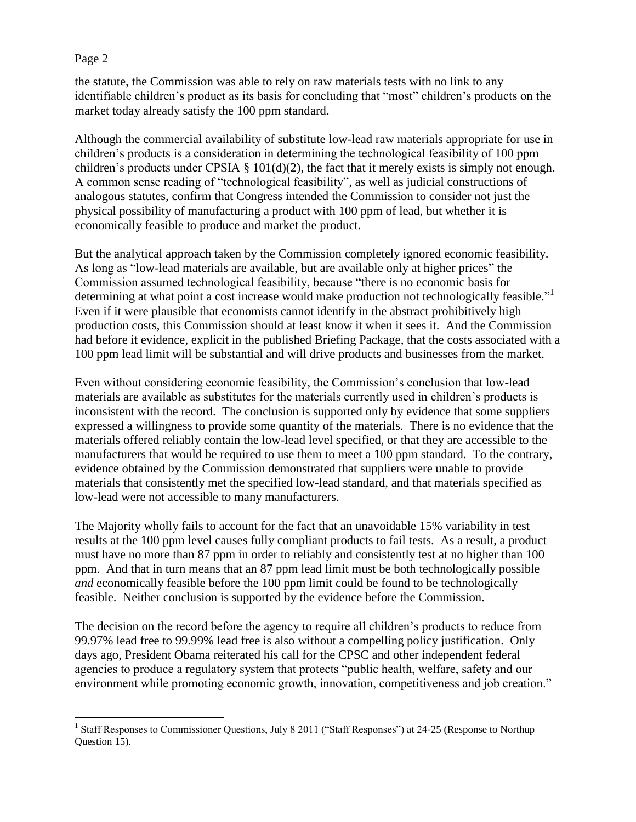$\overline{a}$ 

the statute, the Commission was able to rely on raw materials tests with no link to any identifiable children's product as its basis for concluding that "most" children's products on the market today already satisfy the 100 ppm standard.

Although the commercial availability of substitute low-lead raw materials appropriate for use in children's products is a consideration in determining the technological feasibility of 100 ppm children's products under CPSIA  $\S$  101(d)(2), the fact that it merely exists is simply not enough. A common sense reading of "technological feasibility", as well as judicial constructions of analogous statutes, confirm that Congress intended the Commission to consider not just the physical possibility of manufacturing a product with 100 ppm of lead, but whether it is economically feasible to produce and market the product.

But the analytical approach taken by the Commission completely ignored economic feasibility. As long as "low-lead materials are available, but are available only at higher prices" the Commission assumed technological feasibility, because "there is no economic basis for determining at what point a cost increase would make production not technologically feasible."<sup>1</sup> Even if it were plausible that economists cannot identify in the abstract prohibitively high production costs, this Commission should at least know it when it sees it. And the Commission had before it evidence, explicit in the published Briefing Package, that the costs associated with a 100 ppm lead limit will be substantial and will drive products and businesses from the market.

Even without considering economic feasibility, the Commission's conclusion that low-lead materials are available as substitutes for the materials currently used in children's products is inconsistent with the record. The conclusion is supported only by evidence that some suppliers expressed a willingness to provide some quantity of the materials. There is no evidence that the materials offered reliably contain the low-lead level specified, or that they are accessible to the manufacturers that would be required to use them to meet a 100 ppm standard. To the contrary, evidence obtained by the Commission demonstrated that suppliers were unable to provide materials that consistently met the specified low-lead standard, and that materials specified as low-lead were not accessible to many manufacturers.

The Majority wholly fails to account for the fact that an unavoidable 15% variability in test results at the 100 ppm level causes fully compliant products to fail tests. As a result, a product must have no more than 87 ppm in order to reliably and consistently test at no higher than 100 ppm. And that in turn means that an 87 ppm lead limit must be both technologically possible *and* economically feasible before the 100 ppm limit could be found to be technologically feasible. Neither conclusion is supported by the evidence before the Commission.

The decision on the record before the agency to require all children's products to reduce from 99.97% lead free to 99.99% lead free is also without a compelling policy justification. Only days ago, President Obama reiterated his call for the CPSC and other independent federal agencies to produce a regulatory system that protects "public health, welfare, safety and our environment while promoting economic growth, innovation, competitiveness and job creation."

<sup>&</sup>lt;sup>1</sup> Staff Responses to Commissioner Questions, July 8 2011 ("Staff Responses") at 24-25 (Response to Northup Question 15).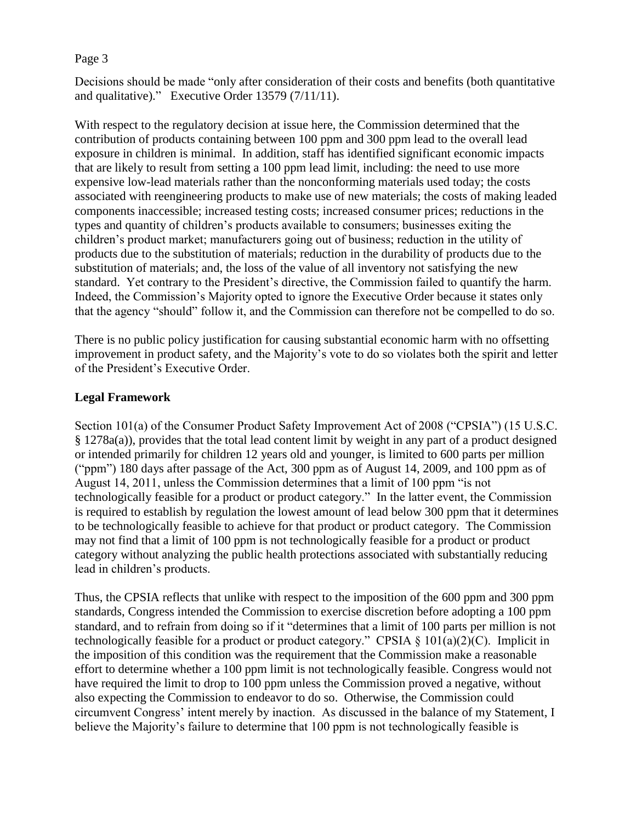Decisions should be made "only after consideration of their costs and benefits (both quantitative and qualitative)." Executive Order 13579 (7/11/11).

With respect to the regulatory decision at issue here, the Commission determined that the contribution of products containing between 100 ppm and 300 ppm lead to the overall lead exposure in children is minimal. In addition, staff has identified significant economic impacts that are likely to result from setting a 100 ppm lead limit, including: the need to use more expensive low-lead materials rather than the nonconforming materials used today; the costs associated with reengineering products to make use of new materials; the costs of making leaded components inaccessible; increased testing costs; increased consumer prices; reductions in the types and quantity of children's products available to consumers; businesses exiting the children's product market; manufacturers going out of business; reduction in the utility of products due to the substitution of materials; reduction in the durability of products due to the substitution of materials; and, the loss of the value of all inventory not satisfying the new standard. Yet contrary to the President's directive, the Commission failed to quantify the harm. Indeed, the Commission's Majority opted to ignore the Executive Order because it states only that the agency "should" follow it, and the Commission can therefore not be compelled to do so.

There is no public policy justification for causing substantial economic harm with no offsetting improvement in product safety, and the Majority's vote to do so violates both the spirit and letter of the President's Executive Order.

# **Legal Framework**

Section 101(a) of the Consumer Product Safety Improvement Act of 2008 ("CPSIA") (15 U.S.C. § 1278a(a)), provides that the total lead content limit by weight in any part of a product designed or intended primarily for children 12 years old and younger, is limited to 600 parts per million ("ppm") 180 days after passage of the Act, 300 ppm as of August 14, 2009, and 100 ppm as of August 14, 2011, unless the Commission determines that a limit of 100 ppm "is not technologically feasible for a product or product category." In the latter event, the Commission is required to establish by regulation the lowest amount of lead below 300 ppm that it determines to be technologically feasible to achieve for that product or product category. The Commission may not find that a limit of 100 ppm is not technologically feasible for a product or product category without analyzing the public health protections associated with substantially reducing lead in children's products.

Thus, the CPSIA reflects that unlike with respect to the imposition of the 600 ppm and 300 ppm standards, Congress intended the Commission to exercise discretion before adopting a 100 ppm standard, and to refrain from doing so if it "determines that a limit of 100 parts per million is not technologically feasible for a product or product category." CPSIA  $\S 101(a)(2)$ (C). Implicit in the imposition of this condition was the requirement that the Commission make a reasonable effort to determine whether a 100 ppm limit is not technologically feasible. Congress would not have required the limit to drop to 100 ppm unless the Commission proved a negative, without also expecting the Commission to endeavor to do so. Otherwise, the Commission could circumvent Congress' intent merely by inaction. As discussed in the balance of my Statement, I believe the Majority's failure to determine that 100 ppm is not technologically feasible is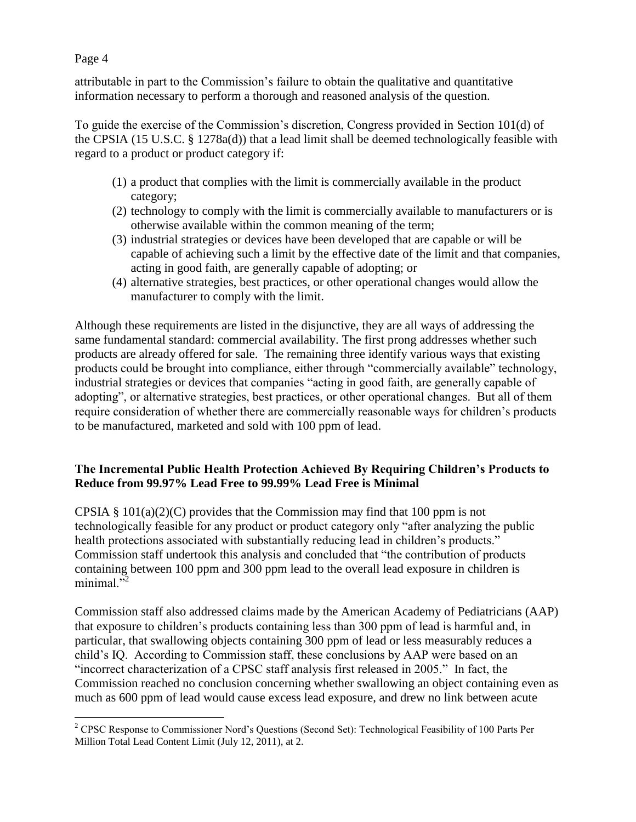attributable in part to the Commission's failure to obtain the qualitative and quantitative information necessary to perform a thorough and reasoned analysis of the question.

To guide the exercise of the Commission's discretion, Congress provided in Section 101(d) of the CPSIA (15 U.S.C. § 1278a(d)) that a lead limit shall be deemed technologically feasible with regard to a product or product category if:

- (1) a product that complies with the limit is commercially available in the product category;
- (2) technology to comply with the limit is commercially available to manufacturers or is otherwise available within the common meaning of the term;
- (3) industrial strategies or devices have been developed that are capable or will be capable of achieving such a limit by the effective date of the limit and that companies, acting in good faith, are generally capable of adopting; or
- (4) alternative strategies, best practices, or other operational changes would allow the manufacturer to comply with the limit.

Although these requirements are listed in the disjunctive, they are all ways of addressing the same fundamental standard: commercial availability. The first prong addresses whether such products are already offered for sale. The remaining three identify various ways that existing products could be brought into compliance, either through "commercially available" technology, industrial strategies or devices that companies "acting in good faith, are generally capable of adopting", or alternative strategies, best practices, or other operational changes. But all of them require consideration of whether there are commercially reasonable ways for children's products to be manufactured, marketed and sold with 100 ppm of lead.

# **The Incremental Public Health Protection Achieved By Requiring Children's Products to Reduce from 99.97% Lead Free to 99.99% Lead Free is Minimal**

CPSIA  $\S$  101(a)(2)(C) provides that the Commission may find that 100 ppm is not technologically feasible for any product or product category only "after analyzing the public health protections associated with substantially reducing lead in children's products." Commission staff undertook this analysis and concluded that "the contribution of products containing between 100 ppm and 300 ppm lead to the overall lead exposure in children is minimal. $^{52}$ 

Commission staff also addressed claims made by the American Academy of Pediatricians (AAP) that exposure to children's products containing less than 300 ppm of lead is harmful and, in particular, that swallowing objects containing 300 ppm of lead or less measurably reduces a child's IQ. According to Commission staff, these conclusions by AAP were based on an "incorrect characterization of a CPSC staff analysis first released in 2005." In fact, the Commission reached no conclusion concerning whether swallowing an object containing even as much as 600 ppm of lead would cause excess lead exposure, and drew no link between acute

 $\overline{a}$ <sup>2</sup> CPSC Response to Commissioner Nord's Questions (Second Set): Technological Feasibility of 100 Parts Per Million Total Lead Content Limit (July 12, 2011), at 2.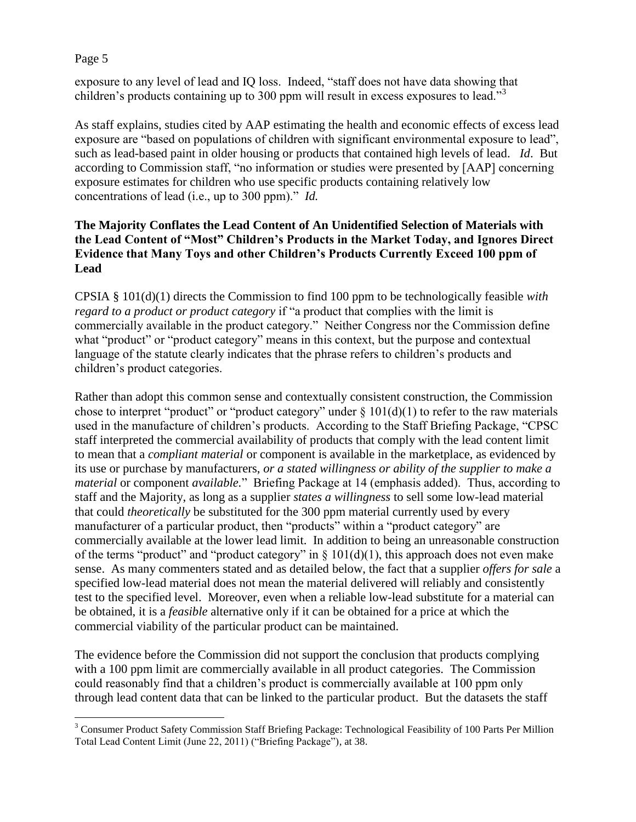exposure to any level of lead and IQ loss. Indeed, "staff does not have data showing that children's products containing up to 300 ppm will result in excess exposures to lead."<sup>3</sup>

As staff explains, studies cited by AAP estimating the health and economic effects of excess lead exposure are "based on populations of children with significant environmental exposure to lead", such as lead-based paint in older housing or products that contained high levels of lead. *Id*. But according to Commission staff, "no information or studies were presented by [AAP] concerning exposure estimates for children who use specific products containing relatively low concentrations of lead (i.e., up to 300 ppm)." *Id.*

# **The Majority Conflates the Lead Content of An Unidentified Selection of Materials with the Lead Content of "Most" Children's Products in the Market Today, and Ignores Direct Evidence that Many Toys and other Children's Products Currently Exceed 100 ppm of Lead**

CPSIA § 101(d)(1) directs the Commission to find 100 ppm to be technologically feasible *with regard to a product or product category* if "a product that complies with the limit is commercially available in the product category." Neither Congress nor the Commission define what "product" or "product category" means in this context, but the purpose and contextual language of the statute clearly indicates that the phrase refers to children's products and children's product categories.

Rather than adopt this common sense and contextually consistent construction, the Commission chose to interpret "product" or "product category" under  $\S 101(d)(1)$  to refer to the raw materials used in the manufacture of children's products. According to the Staff Briefing Package, "CPSC staff interpreted the commercial availability of products that comply with the lead content limit to mean that a *compliant material* or component is available in the marketplace, as evidenced by its use or purchase by manufacturers, *or a stated willingness or ability of the supplier to make a material* or component *available.*" Briefing Package at 14 (emphasis added). Thus, according to staff and the Majority, as long as a supplier *states a willingness* to sell some low-lead material that could *theoretically* be substituted for the 300 ppm material currently used by every manufacturer of a particular product, then "products" within a "product category" are commercially available at the lower lead limit. In addition to being an unreasonable construction of the terms "product" and "product category" in  $\S$  101(d)(1), this approach does not even make sense. As many commenters stated and as detailed below, the fact that a supplier *offers for sale* a specified low-lead material does not mean the material delivered will reliably and consistently test to the specified level. Moreover, even when a reliable low-lead substitute for a material can be obtained, it is a *feasible* alternative only if it can be obtained for a price at which the commercial viability of the particular product can be maintained.

The evidence before the Commission did not support the conclusion that products complying with a 100 ppm limit are commercially available in all product categories. The Commission could reasonably find that a children's product is commercially available at 100 ppm only through lead content data that can be linked to the particular product. But the datasets the staff

 $\overline{a}$ <sup>3</sup> Consumer Product Safety Commission Staff Briefing Package: Technological Feasibility of 100 Parts Per Million Total Lead Content Limit (June 22, 2011) ("Briefing Package"), at 38.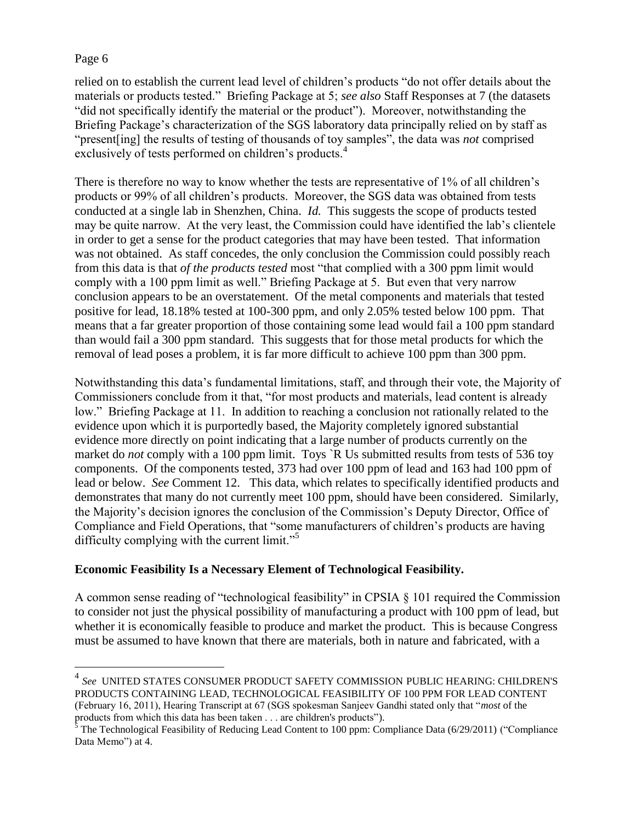$\overline{a}$ 

relied on to establish the current lead level of children's products "do not offer details about the materials or products tested." Briefing Package at 5; *see also* Staff Responses at 7 (the datasets "did not specifically identify the material or the product"). Moreover, notwithstanding the Briefing Package's characterization of the SGS laboratory data principally relied on by staff as "present[ing] the results of testing of thousands of toy samples", the data was *not* comprised exclusively of tests performed on children's products.<sup>4</sup>

There is therefore no way to know whether the tests are representative of 1% of all children's products or 99% of all children's products. Moreover, the SGS data was obtained from tests conducted at a single lab in Shenzhen, China. *Id.* This suggests the scope of products tested may be quite narrow. At the very least, the Commission could have identified the lab's clientele in order to get a sense for the product categories that may have been tested. That information was not obtained. As staff concedes, the only conclusion the Commission could possibly reach from this data is that *of the products tested* most "that complied with a 300 ppm limit would comply with a 100 ppm limit as well." Briefing Package at 5. But even that very narrow conclusion appears to be an overstatement. Of the metal components and materials that tested positive for lead, 18.18% tested at 100-300 ppm, and only 2.05% tested below 100 ppm. That means that a far greater proportion of those containing some lead would fail a 100 ppm standard than would fail a 300 ppm standard. This suggests that for those metal products for which the removal of lead poses a problem, it is far more difficult to achieve 100 ppm than 300 ppm.

Notwithstanding this data's fundamental limitations, staff, and through their vote, the Majority of Commissioners conclude from it that, "for most products and materials, lead content is already low." Briefing Package at 11. In addition to reaching a conclusion not rationally related to the evidence upon which it is purportedly based, the Majority completely ignored substantial evidence more directly on point indicating that a large number of products currently on the market do *not* comply with a 100 ppm limit. Toys `R Us submitted results from tests of 536 toy components. Of the components tested, 373 had over 100 ppm of lead and 163 had 100 ppm of lead or below. *See* Comment 12. This data, which relates to specifically identified products and demonstrates that many do not currently meet 100 ppm, should have been considered. Similarly, the Majority's decision ignores the conclusion of the Commission's Deputy Director, Office of Compliance and Field Operations, that "some manufacturers of children's products are having difficulty complying with the current limit."<sup>5</sup>

# **Economic Feasibility Is a Necessary Element of Technological Feasibility.**

A common sense reading of "technological feasibility" in CPSIA § 101 required the Commission to consider not just the physical possibility of manufacturing a product with 100 ppm of lead, but whether it is economically feasible to produce and market the product. This is because Congress must be assumed to have known that there are materials, both in nature and fabricated, with a

<sup>4</sup> *See* UNITED STATES CONSUMER PRODUCT SAFETY COMMISSION PUBLIC HEARING: CHILDREN'S PRODUCTS CONTAINING LEAD, TECHNOLOGICAL FEASIBILITY OF 100 PPM FOR LEAD CONTENT (February 16, 2011), Hearing Transcript at 67 (SGS spokesman Sanjeev Gandhi stated only that "*most* of the products from which this data has been taken . . . are children's products").

 $5$  The Technological Feasibility of Reducing Lead Content to 100 ppm: Compliance Data (6/29/2011) ("Compliance" Data Memo") at 4.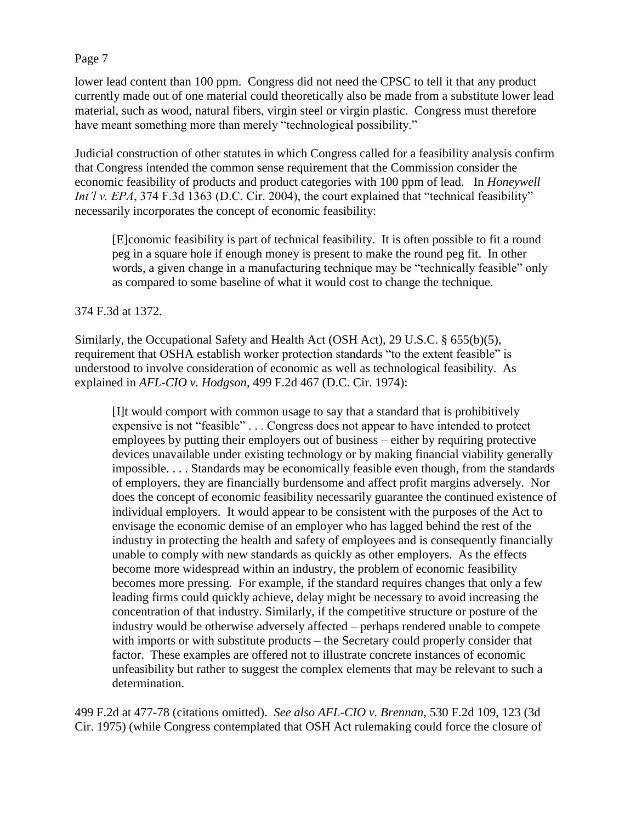lower lead content than 100 ppm. Congress did not need the CPSC to tell it that any product currently made out of one material could theoretically also be made from a substitute lower lead material, such as wood, natural fibers, virgin steel or virgin plastic. Congress must therefore have meant something more than merely "technological possibility."

Judicial construction of other statutes in which Congress called for a feasibility analysis confirm that Congress intended the common sense requirement that the Commission consider the economic feasibility of products and product categories with 100 ppm of lead. In *Honeywell Int'l v. EPA*, 374 F.3d 1363 (D.C. Cir. 2004), the court explained that "technical feasibility" necessarily incorporates the concept of economic feasibility:

[E]conomic feasibility is part of technical feasibility. It is often possible to fit a round peg in a square hole if enough money is present to make the round peg fit. In other words, a given change in a manufacturing technique may be "technically feasible" only as compared to some baseline of what it would cost to change the technique.

## 374 F.3d at 1372.

Similarly, the Occupational Safety and Health Act (OSH Act), 29 U.S.C. § 655(b)(5), requirement that OSHA establish worker protection standards "to the extent feasible" is understood to involve consideration of economic as well as technological feasibility. As explained in *AFL-CIO v. Hodgson*, 499 F.2d 467 (D.C. Cir. 1974):

[I]t would comport with common usage to say that a standard that is prohibitively expensive is not "feasible" . . . Congress does not appear to have intended to protect employees by putting their employers out of business – either by requiring protective devices unavailable under existing technology or by making financial viability generally impossible. . . . Standards may be economically feasible even though, from the standards of employers, they are financially burdensome and affect profit margins adversely. Nor does the concept of economic feasibility necessarily guarantee the continued existence of individual employers. It would appear to be consistent with the purposes of the Act to envisage the economic demise of an employer who has lagged behind the rest of the industry in protecting the health and safety of employees and is consequently financially unable to comply with new standards as quickly as other employers. As the effects become more widespread within an industry, the problem of economic feasibility becomes more pressing. For example, if the standard requires changes that only a few leading firms could quickly achieve, delay might be necessary to avoid increasing the concentration of that industry. Similarly, if the competitive structure or posture of the industry would be otherwise adversely affected – perhaps rendered unable to compete with imports or with substitute products – the Secretary could properly consider that factor. These examples are offered not to illustrate concrete instances of economic unfeasibility but rather to suggest the complex elements that may be relevant to such a determination.

499 F.2d at 477-78 (citations omitted). *See also AFL-CIO v. Brennan*, 530 F.2d 109, 123 (3d Cir. 1975) (while Congress contemplated that OSH Act rulemaking could force the closure of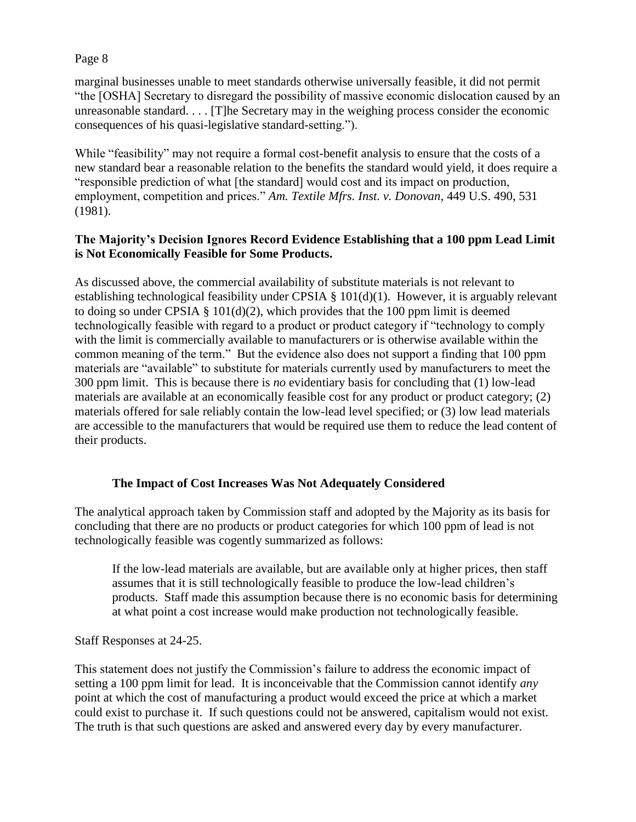marginal businesses unable to meet standards otherwise universally feasible, it did not permit "the [OSHA] Secretary to disregard the possibility of massive economic dislocation caused by an unreasonable standard. . . . [T]he Secretary may in the weighing process consider the economic consequences of his quasi-legislative standard-setting.").

While "feasibility" may not require a formal cost-benefit analysis to ensure that the costs of a new standard bear a reasonable relation to the benefits the standard would yield, it does require a "responsible prediction of what [the standard] would cost and its impact on production, employment, competition and prices." *Am. Textile Mfrs. Inst. v. Donovan*, 449 U.S. 490, 531 (1981).

# **The Majority's Decision Ignores Record Evidence Establishing that a 100 ppm Lead Limit is Not Economically Feasible for Some Products.**

As discussed above, the commercial availability of substitute materials is not relevant to establishing technological feasibility under CPSIA § 101(d)(1). However, it is arguably relevant to doing so under CPSIA  $\S$  101(d)(2), which provides that the 100 ppm limit is deemed technologically feasible with regard to a product or product category if "technology to comply with the limit is commercially available to manufacturers or is otherwise available within the common meaning of the term." But the evidence also does not support a finding that 100 ppm materials are "available" to substitute for materials currently used by manufacturers to meet the 300 ppm limit. This is because there is *no* evidentiary basis for concluding that (1) low-lead materials are available at an economically feasible cost for any product or product category; (2) materials offered for sale reliably contain the low-lead level specified; or (3) low lead materials are accessible to the manufacturers that would be required use them to reduce the lead content of their products.

# **The Impact of Cost Increases Was Not Adequately Considered**

The analytical approach taken by Commission staff and adopted by the Majority as its basis for concluding that there are no products or product categories for which 100 ppm of lead is not technologically feasible was cogently summarized as follows:

If the low-lead materials are available, but are available only at higher prices, then staff assumes that it is still technologically feasible to produce the low-lead children's products. Staff made this assumption because there is no economic basis for determining at what point a cost increase would make production not technologically feasible.

Staff Responses at 24-25.

This statement does not justify the Commission's failure to address the economic impact of setting a 100 ppm limit for lead. It is inconceivable that the Commission cannot identify *any*  point at which the cost of manufacturing a product would exceed the price at which a market could exist to purchase it. If such questions could not be answered, capitalism would not exist. The truth is that such questions are asked and answered every day by every manufacturer.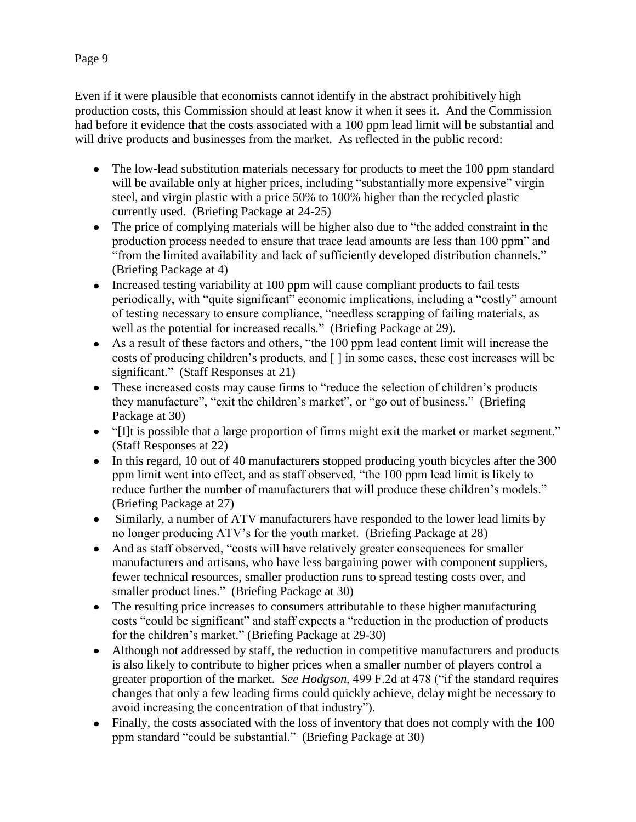Even if it were plausible that economists cannot identify in the abstract prohibitively high production costs, this Commission should at least know it when it sees it. And the Commission had before it evidence that the costs associated with a 100 ppm lead limit will be substantial and will drive products and businesses from the market. As reflected in the public record:

- The low-lead substitution materials necessary for products to meet the 100 ppm standard will be available only at higher prices, including "substantially more expensive" virgin steel, and virgin plastic with a price 50% to 100% higher than the recycled plastic currently used. (Briefing Package at 24-25)
- The price of complying materials will be higher also due to "the added constraint in the production process needed to ensure that trace lead amounts are less than 100 ppm" and "from the limited availability and lack of sufficiently developed distribution channels." (Briefing Package at 4)
- Increased testing variability at 100 ppm will cause compliant products to fail tests periodically, with "quite significant" economic implications, including a "costly" amount of testing necessary to ensure compliance, "needless scrapping of failing materials, as well as the potential for increased recalls." (Briefing Package at 29).
- As a result of these factors and others, "the 100 ppm lead content limit will increase the costs of producing children's products, and [ ] in some cases, these cost increases will be significant." (Staff Responses at 21)
- These increased costs may cause firms to "reduce the selection of children's products they manufacture", "exit the children's market", or "go out of business." (Briefing Package at 30)
- "[I]t is possible that a large proportion of firms might exit the market or market segment." (Staff Responses at 22)
- In this regard, 10 out of 40 manufacturers stopped producing youth bicycles after the 300 ppm limit went into effect, and as staff observed, "the 100 ppm lead limit is likely to reduce further the number of manufacturers that will produce these children's models." (Briefing Package at 27)
- Similarly, a number of ATV manufacturers have responded to the lower lead limits by no longer producing ATV's for the youth market. (Briefing Package at 28)
- And as staff observed, "costs will have relatively greater consequences for smaller manufacturers and artisans, who have less bargaining power with component suppliers, fewer technical resources, smaller production runs to spread testing costs over, and smaller product lines." (Briefing Package at 30)
- The resulting price increases to consumers attributable to these higher manufacturing costs "could be significant" and staff expects a "reduction in the production of products for the children's market." (Briefing Package at 29-30)
- Although not addressed by staff, the reduction in competitive manufacturers and products is also likely to contribute to higher prices when a smaller number of players control a greater proportion of the market. *See Hodgson*, 499 F.2d at 478 ("if the standard requires changes that only a few leading firms could quickly achieve, delay might be necessary to avoid increasing the concentration of that industry").
- Finally, the costs associated with the loss of inventory that does not comply with the 100 ppm standard "could be substantial." (Briefing Package at 30)

# Page 9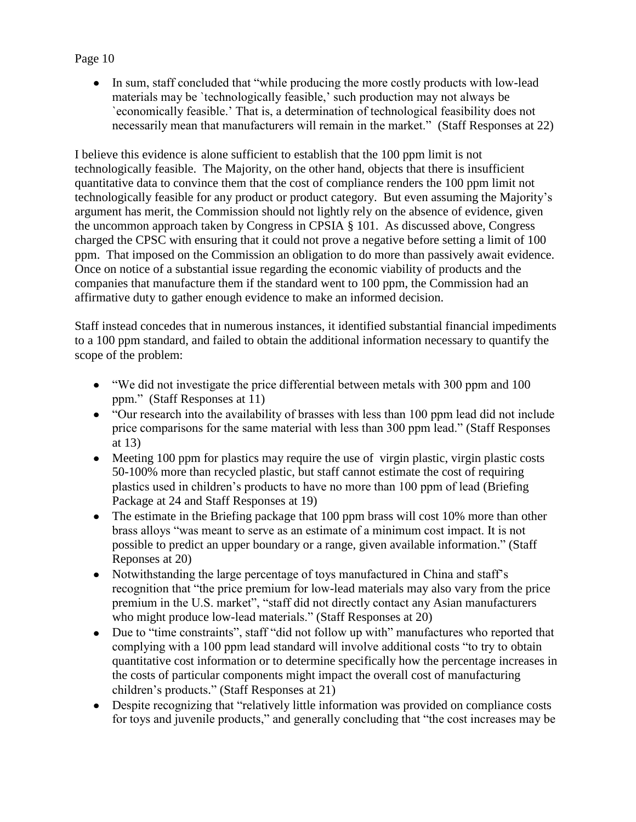• In sum, staff concluded that "while producing the more costly products with low-lead materials may be `technologically feasible,' such production may not always be `economically feasible.' That is, a determination of technological feasibility does not necessarily mean that manufacturers will remain in the market." (Staff Responses at 22)

I believe this evidence is alone sufficient to establish that the 100 ppm limit is not technologically feasible. The Majority, on the other hand, objects that there is insufficient quantitative data to convince them that the cost of compliance renders the 100 ppm limit not technologically feasible for any product or product category. But even assuming the Majority's argument has merit, the Commission should not lightly rely on the absence of evidence, given the uncommon approach taken by Congress in CPSIA § 101. As discussed above, Congress charged the CPSC with ensuring that it could not prove a negative before setting a limit of 100 ppm. That imposed on the Commission an obligation to do more than passively await evidence. Once on notice of a substantial issue regarding the economic viability of products and the companies that manufacture them if the standard went to 100 ppm, the Commission had an affirmative duty to gather enough evidence to make an informed decision.

Staff instead concedes that in numerous instances, it identified substantial financial impediments to a 100 ppm standard, and failed to obtain the additional information necessary to quantify the scope of the problem:

- "We did not investigate the price differential between metals with 300 ppm and 100 ppm." (Staff Responses at 11)
- "Our research into the availability of brasses with less than 100 ppm lead did not include price comparisons for the same material with less than 300 ppm lead." (Staff Responses at 13)
- Meeting 100 ppm for plastics may require the use of virgin plastic, virgin plastic costs  $\bullet$ 50-100% more than recycled plastic, but staff cannot estimate the cost of requiring plastics used in children's products to have no more than 100 ppm of lead (Briefing Package at 24 and Staff Responses at 19)
- The estimate in the Briefing package that 100 ppm brass will cost 10% more than other brass alloys "was meant to serve as an estimate of a minimum cost impact. It is not possible to predict an upper boundary or a range, given available information." (Staff Reponses at 20)
- Notwithstanding the large percentage of toys manufactured in China and staff's recognition that "the price premium for low-lead materials may also vary from the price premium in the U.S. market", "staff did not directly contact any Asian manufacturers who might produce low-lead materials." (Staff Responses at 20)
- Due to "time constraints", staff "did not follow up with" manufactures who reported that  $\bullet$ complying with a 100 ppm lead standard will involve additional costs "to try to obtain quantitative cost information or to determine specifically how the percentage increases in the costs of particular components might impact the overall cost of manufacturing children's products." (Staff Responses at 21)
- Despite recognizing that "relatively little information was provided on compliance costs for toys and juvenile products," and generally concluding that "the cost increases may be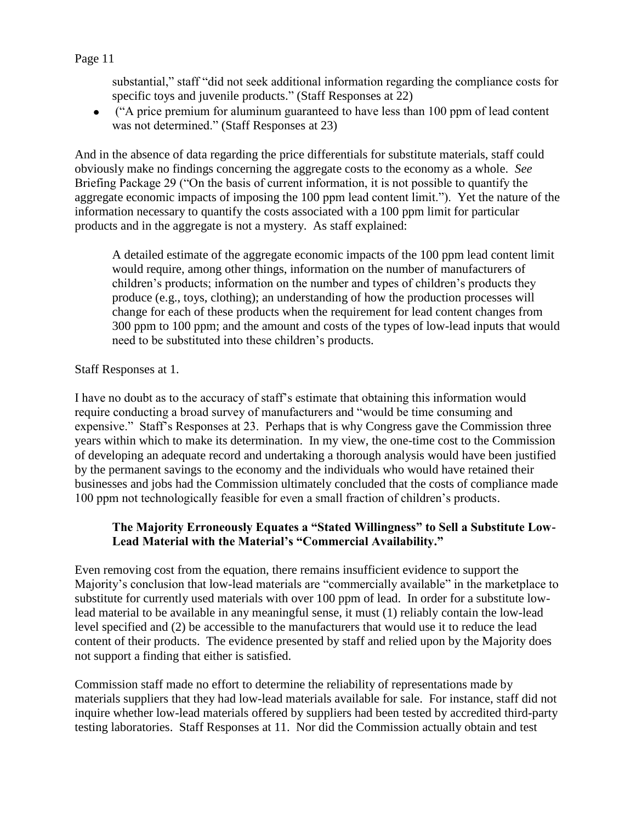substantial," staff "did not seek additional information regarding the compliance costs for specific toys and juvenile products." (Staff Responses at 22)

("A price premium for aluminum guaranteed to have less than 100 ppm of lead content was not determined." (Staff Responses at 23)

And in the absence of data regarding the price differentials for substitute materials, staff could obviously make no findings concerning the aggregate costs to the economy as a whole. *See*  Briefing Package 29 ("On the basis of current information, it is not possible to quantify the aggregate economic impacts of imposing the 100 ppm lead content limit."). Yet the nature of the information necessary to quantify the costs associated with a 100 ppm limit for particular products and in the aggregate is not a mystery. As staff explained:

A detailed estimate of the aggregate economic impacts of the 100 ppm lead content limit would require, among other things, information on the number of manufacturers of children's products; information on the number and types of children's products they produce (e.g., toys, clothing); an understanding of how the production processes will change for each of these products when the requirement for lead content changes from 300 ppm to 100 ppm; and the amount and costs of the types of low-lead inputs that would need to be substituted into these children's products.

# Staff Responses at 1.

I have no doubt as to the accuracy of staff's estimate that obtaining this information would require conducting a broad survey of manufacturers and "would be time consuming and expensive." Staff's Responses at 23. Perhaps that is why Congress gave the Commission three years within which to make its determination. In my view, the one-time cost to the Commission of developing an adequate record and undertaking a thorough analysis would have been justified by the permanent savings to the economy and the individuals who would have retained their businesses and jobs had the Commission ultimately concluded that the costs of compliance made 100 ppm not technologically feasible for even a small fraction of children's products.

# **The Majority Erroneously Equates a "Stated Willingness" to Sell a Substitute Low-Lead Material with the Material's "Commercial Availability."**

Even removing cost from the equation, there remains insufficient evidence to support the Majority's conclusion that low-lead materials are "commercially available" in the marketplace to substitute for currently used materials with over 100 ppm of lead. In order for a substitute lowlead material to be available in any meaningful sense, it must (1) reliably contain the low-lead level specified and (2) be accessible to the manufacturers that would use it to reduce the lead content of their products. The evidence presented by staff and relied upon by the Majority does not support a finding that either is satisfied.

Commission staff made no effort to determine the reliability of representations made by materials suppliers that they had low-lead materials available for sale. For instance, staff did not inquire whether low-lead materials offered by suppliers had been tested by accredited third-party testing laboratories. Staff Responses at 11. Nor did the Commission actually obtain and test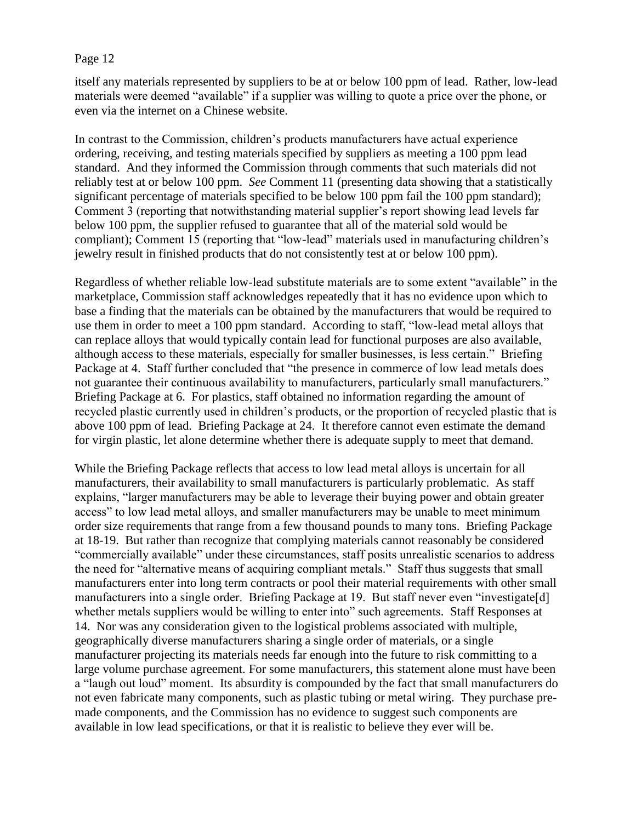itself any materials represented by suppliers to be at or below 100 ppm of lead. Rather, low-lead materials were deemed "available" if a supplier was willing to quote a price over the phone, or even via the internet on a Chinese website.

In contrast to the Commission, children's products manufacturers have actual experience ordering, receiving, and testing materials specified by suppliers as meeting a 100 ppm lead standard. And they informed the Commission through comments that such materials did not reliably test at or below 100 ppm. *See* Comment 11 (presenting data showing that a statistically significant percentage of materials specified to be below 100 ppm fail the 100 ppm standard); Comment 3 (reporting that notwithstanding material supplier's report showing lead levels far below 100 ppm, the supplier refused to guarantee that all of the material sold would be compliant); Comment 15 (reporting that "low-lead" materials used in manufacturing children's jewelry result in finished products that do not consistently test at or below 100 ppm).

Regardless of whether reliable low-lead substitute materials are to some extent "available" in the marketplace, Commission staff acknowledges repeatedly that it has no evidence upon which to base a finding that the materials can be obtained by the manufacturers that would be required to use them in order to meet a 100 ppm standard. According to staff, "low-lead metal alloys that can replace alloys that would typically contain lead for functional purposes are also available, although access to these materials, especially for smaller businesses, is less certain." Briefing Package at 4. Staff further concluded that "the presence in commerce of low lead metals does not guarantee their continuous availability to manufacturers, particularly small manufacturers." Briefing Package at 6. For plastics, staff obtained no information regarding the amount of recycled plastic currently used in children's products, or the proportion of recycled plastic that is above 100 ppm of lead. Briefing Package at 24. It therefore cannot even estimate the demand for virgin plastic, let alone determine whether there is adequate supply to meet that demand.

While the Briefing Package reflects that access to low lead metal alloys is uncertain for all manufacturers, their availability to small manufacturers is particularly problematic. As staff explains, "larger manufacturers may be able to leverage their buying power and obtain greater access" to low lead metal alloys, and smaller manufacturers may be unable to meet minimum order size requirements that range from a few thousand pounds to many tons. Briefing Package at 18-19. But rather than recognize that complying materials cannot reasonably be considered "commercially available" under these circumstances, staff posits unrealistic scenarios to address the need for "alternative means of acquiring compliant metals." Staff thus suggests that small manufacturers enter into long term contracts or pool their material requirements with other small manufacturers into a single order. Briefing Package at 19. But staff never even "investigate[d] whether metals suppliers would be willing to enter into" such agreements. Staff Responses at 14. Nor was any consideration given to the logistical problems associated with multiple, geographically diverse manufacturers sharing a single order of materials, or a single manufacturer projecting its materials needs far enough into the future to risk committing to a large volume purchase agreement. For some manufacturers, this statement alone must have been a "laugh out loud" moment. Its absurdity is compounded by the fact that small manufacturers do not even fabricate many components, such as plastic tubing or metal wiring. They purchase premade components, and the Commission has no evidence to suggest such components are available in low lead specifications, or that it is realistic to believe they ever will be.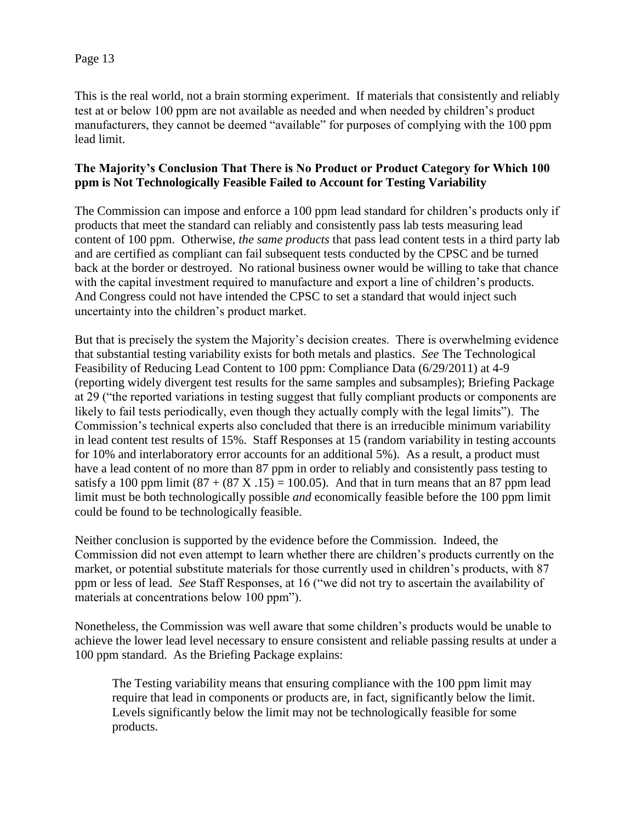This is the real world, not a brain storming experiment. If materials that consistently and reliably test at or below 100 ppm are not available as needed and when needed by children's product manufacturers, they cannot be deemed "available" for purposes of complying with the 100 ppm lead limit.

# **The Majority's Conclusion That There is No Product or Product Category for Which 100 ppm is Not Technologically Feasible Failed to Account for Testing Variability**

The Commission can impose and enforce a 100 ppm lead standard for children's products only if products that meet the standard can reliably and consistently pass lab tests measuring lead content of 100 ppm. Otherwise, *the same products* that pass lead content tests in a third party lab and are certified as compliant can fail subsequent tests conducted by the CPSC and be turned back at the border or destroyed. No rational business owner would be willing to take that chance with the capital investment required to manufacture and export a line of children's products. And Congress could not have intended the CPSC to set a standard that would inject such uncertainty into the children's product market.

But that is precisely the system the Majority's decision creates. There is overwhelming evidence that substantial testing variability exists for both metals and plastics. *See* The Technological Feasibility of Reducing Lead Content to 100 ppm: Compliance Data (6/29/2011) at 4-9 (reporting widely divergent test results for the same samples and subsamples); Briefing Package at 29 ("the reported variations in testing suggest that fully compliant products or components are likely to fail tests periodically, even though they actually comply with the legal limits"). The Commission's technical experts also concluded that there is an irreducible minimum variability in lead content test results of 15%. Staff Responses at 15 (random variability in testing accounts for 10% and interlaboratory error accounts for an additional 5%). As a result, a product must have a lead content of no more than 87 ppm in order to reliably and consistently pass testing to satisfy a 100 ppm limit  $(87 + (87 \text{ X} \cdot 15) = 100.05)$ . And that in turn means that an 87 ppm lead limit must be both technologically possible *and* economically feasible before the 100 ppm limit could be found to be technologically feasible.

Neither conclusion is supported by the evidence before the Commission. Indeed, the Commission did not even attempt to learn whether there are children's products currently on the market, or potential substitute materials for those currently used in children's products, with 87 ppm or less of lead. *See* Staff Responses, at 16 ("we did not try to ascertain the availability of materials at concentrations below 100 ppm").

Nonetheless, the Commission was well aware that some children's products would be unable to achieve the lower lead level necessary to ensure consistent and reliable passing results at under a 100 ppm standard. As the Briefing Package explains:

The Testing variability means that ensuring compliance with the 100 ppm limit may require that lead in components or products are, in fact, significantly below the limit. Levels significantly below the limit may not be technologically feasible for some products.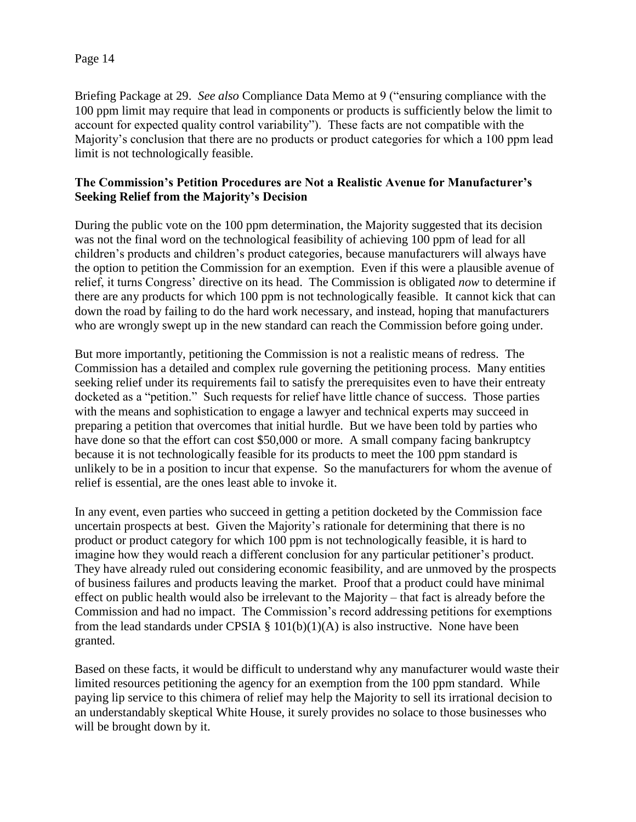Briefing Package at 29. *See also* Compliance Data Memo at 9 ("ensuring compliance with the 100 ppm limit may require that lead in components or products is sufficiently below the limit to account for expected quality control variability"). These facts are not compatible with the Majority's conclusion that there are no products or product categories for which a 100 ppm lead limit is not technologically feasible.

# **The Commission's Petition Procedures are Not a Realistic Avenue for Manufacturer's Seeking Relief from the Majority's Decision**

During the public vote on the 100 ppm determination, the Majority suggested that its decision was not the final word on the technological feasibility of achieving 100 ppm of lead for all children's products and children's product categories, because manufacturers will always have the option to petition the Commission for an exemption. Even if this were a plausible avenue of relief, it turns Congress' directive on its head. The Commission is obligated *now* to determine if there are any products for which 100 ppm is not technologically feasible. It cannot kick that can down the road by failing to do the hard work necessary, and instead, hoping that manufacturers who are wrongly swept up in the new standard can reach the Commission before going under.

But more importantly, petitioning the Commission is not a realistic means of redress. The Commission has a detailed and complex rule governing the petitioning process. Many entities seeking relief under its requirements fail to satisfy the prerequisites even to have their entreaty docketed as a "petition." Such requests for relief have little chance of success. Those parties with the means and sophistication to engage a lawyer and technical experts may succeed in preparing a petition that overcomes that initial hurdle. But we have been told by parties who have done so that the effort can cost \$50,000 or more. A small company facing bankruptcy because it is not technologically feasible for its products to meet the 100 ppm standard is unlikely to be in a position to incur that expense. So the manufacturers for whom the avenue of relief is essential, are the ones least able to invoke it.

In any event, even parties who succeed in getting a petition docketed by the Commission face uncertain prospects at best. Given the Majority's rationale for determining that there is no product or product category for which 100 ppm is not technologically feasible, it is hard to imagine how they would reach a different conclusion for any particular petitioner's product. They have already ruled out considering economic feasibility, and are unmoved by the prospects of business failures and products leaving the market. Proof that a product could have minimal effect on public health would also be irrelevant to the Majority – that fact is already before the Commission and had no impact. The Commission's record addressing petitions for exemptions from the lead standards under CPSIA  $\S$  101(b)(1)(A) is also instructive. None have been granted.

Based on these facts, it would be difficult to understand why any manufacturer would waste their limited resources petitioning the agency for an exemption from the 100 ppm standard. While paying lip service to this chimera of relief may help the Majority to sell its irrational decision to an understandably skeptical White House, it surely provides no solace to those businesses who will be brought down by it.